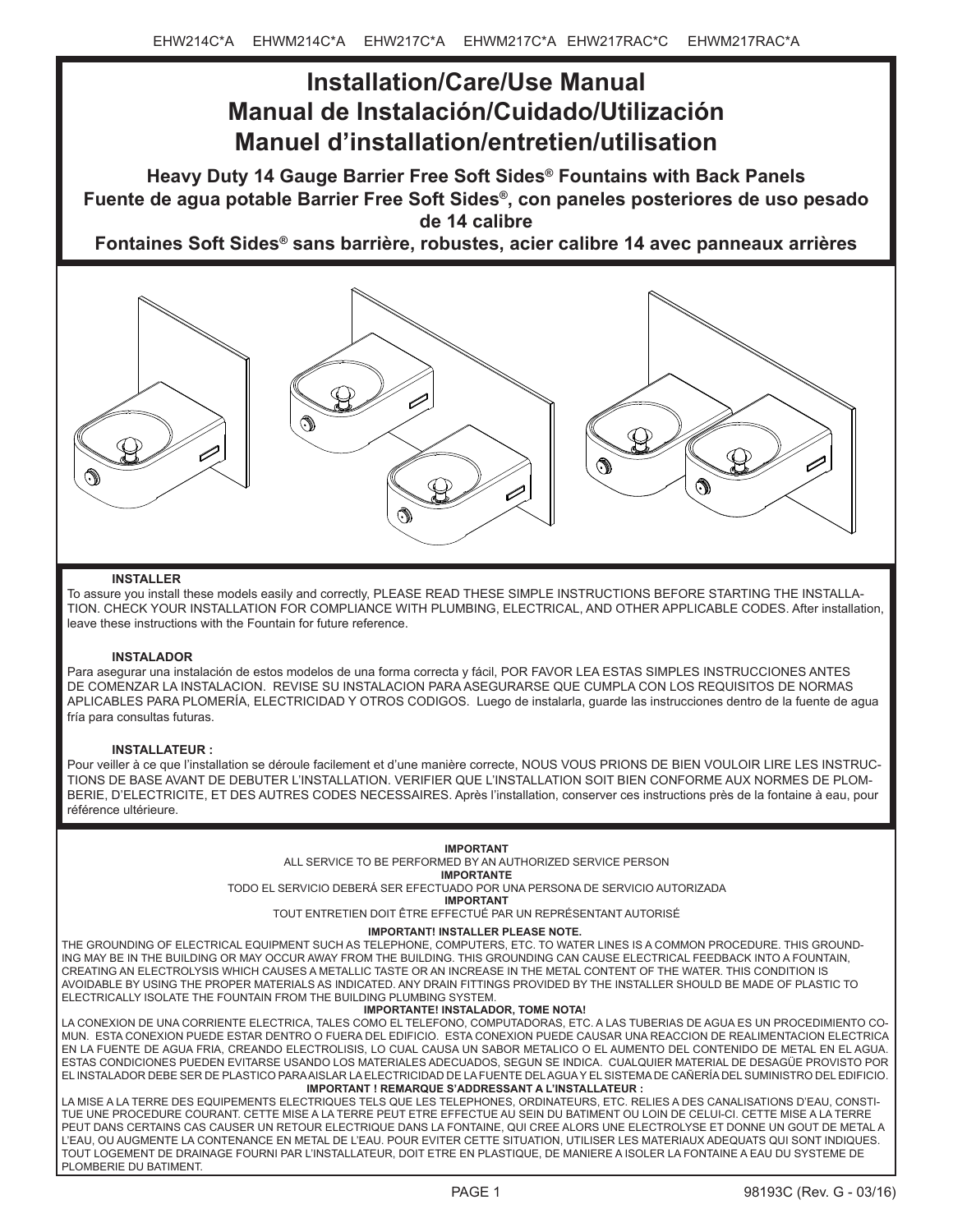# **Installation/Care/Use Manual Manual de Instalación/Cuidado/Utilización Manuel d'installation/entretien/utilisation**

**Heavy Duty 14 Gauge Barrier Free Soft Sides® Fountains with Back Panels Fuente de agua potable Barrier Free Soft Sides®, con paneles posteriores de uso pesado de 14 calibre**

**Fontaines Soft Sides® sans barrière, robustes, acier calibre 14 avec panneaux arrières**



### **INSTALLER**

To assure you install these models easily and correctly, PLEASE READ THESE SIMPLE INSTRUCTIONS BEFORE STARTING THE INSTALLA-TION. CHECK YOUR INSTALLATION FOR COMPLIANCE WITH PLUMBING, ELECTRICAL, AND OTHER APPLICABLE CODES. After installation, leave these instructions with the Fountain for future reference.

# **INSTALADOR**

Para asegurar una instalación de estos modelos de una forma correcta y fácil, POR FAVOR LEA ESTAS SIMPLES INSTRUCCIONES ANTES DE COMENZAR LA INSTALACION. REVISE SU INSTALACION PARA ASEGURARSE QUE CUMPLA CON LOS REQUISITOS DE NORMAS APLICABLES PARA PLOMERÍA, ELECTRICIDAD Y OTROS CODIGOS. Luego de instalarla, guarde las instrucciones dentro de la fuente de agua fría para consultas futuras.

### **INSTALLATEUR :**

Pour veiller à ce que l'installation se déroule facilement et d'une manière correcte, NOUS VOUS PRIONS DE BIEN VOULOIR LIRE LES INSTRUC-TIONS DE BASE AVANT DE DEBUTER L'INSTALLATION. VERIFIER QUE L'INSTALLATION SOIT BIEN CONFORME AUX NORMES DE PLOM-BERIE, D'ELECTRICITE, ET DES AUTRES CODES NECESSAIRES. Après l'installation, conserver ces instructions près de la fontaine à eau, pour référence ultérieure.

#### **IMPORTANT**

ALL SERVICE TO BE PERFORMED BY AN AUTHORIZED SERVICE PERSON

**IMPORTANTE**

TODO EL SERVICIO DEBERÁ SER EFECTUADO POR UNA PERSONA DE SERVICIO AUTORIZADA

**IMPORTANT**

TOUT ENTRETIEN DOIT ÊTRE EFFECTUÉ PAR UN REPRÉSENTANT AUTORISÉ

### **IMPORTANT! INSTALLER PLEASE NOTE.**

THE GROUNDING OF ELECTRICAL EQUIPMENT SUCH AS TELEPHONE, COMPUTERS, ETC. TO WATER LINES IS A COMMON PROCEDURE. THIS GROUND-ING MAY BE IN THE BUILDING OR MAY OCCUR AWAY FROM THE BUILDING. THIS GROUNDING CAN CAUSE ELECTRICAL FEEDBACK INTO A FOUNTAIN, CREATING AN ELECTROLYSIS WHICH CAUSES A METALLIC TASTE OR AN INCREASE IN THE METAL CONTENT OF THE WATER. THIS CONDITION IS AVOIDABLE BY USING THE PROPER MATERIALS AS INDICATED. ANY DRAIN FITTINGS PROVIDED BY THE INSTALLER SHOULD BE MADE OF PLASTIC TO ELECTRICALLY ISOLATE THE FOUNTAIN FROM THE BUILDING PLUMBING SYSTEM.

#### **IMPORTANTE! INSTALADOR, TOME NOTA!**

**IMPORTANT ! REMARQUE S'ADDRESSANT A L'INSTALLATEUR :** LA CONEXION DE UNA CORRIENTE ELECTRICA, TALES COMO EL TELEFONO, COMPUTADORAS, ETC. A LAS TUBERIAS DE AGUA ES UN PROCEDIMIENTO CO-MUN. ESTA CONEXION PUEDE ESTAR DENTRO O FUERA DEL EDIFICIO. ESTA CONEXION PUEDE CAUSAR UNA REACCION DE REALIMENTACION ELECTRICA EN LA FUENTE DE AGUA FRIA, CREANDO ELECTROLISIS, LO CUAL CAUSA UN SABOR METALICO O EL AUMENTO DEL CONTENIDO DE METAL EN EL AGUA. ESTAS CONDICIONES PUEDEN EVITARSE USANDO LOS MATERIALES ADECUADOS, SEGUN SE INDICA. CUALQUIER MATERIAL DE DESAGÜE PROVISTO POR EL INSTALADOR DEBE SER DE PLASTICO PARA AISLAR LA ELECTRICIDAD DE LA FUENTE DEL AGUA Y EL SISTEMA DE CAÑERÍA DEL SUMINISTRO DEL EDIFICIO.

LA MISE A LA TERRE DES EQUIPEMENTS ELECTRIQUES TELS QUE LES TELEPHONES, ORDINATEURS, ETC. RELIES A DES CANALISATIONS D'EAU, CONSTI-TUE UNE PROCEDURE COURANT. CETTE MISE A LA TERRE PEUT ETRE EFFECTUE AU SEIN DU BATIMENT OU LOIN DE CELUI-CI. CETTE MISE A LA TERRE PEUT DANS CERTAINS CAS CAUSER UN RETOUR ELECTRIQUE DANS LA FONTAINE, QUI CREE ALORS UNE ELECTROLYSE ET DONNE UN GOUT DE METAL A L'EAU, OU AUGMENTE LA CONTENANCE EN METAL DE L'EAU. POUR EVITER CETTE SITUATION, UTILISER LES MATERIAUX ADEQUATS QUI SONT INDIQUES. TOUT LOGEMENT DE DRAINAGE FOURNI PAR L'INSTALLATEUR, DOIT ETRE EN PLASTIQUE, DE MANIERE A ISOLER LA FONTAINE A EAU DU SYSTEME DE PLOMBERIE DU BATIMENT.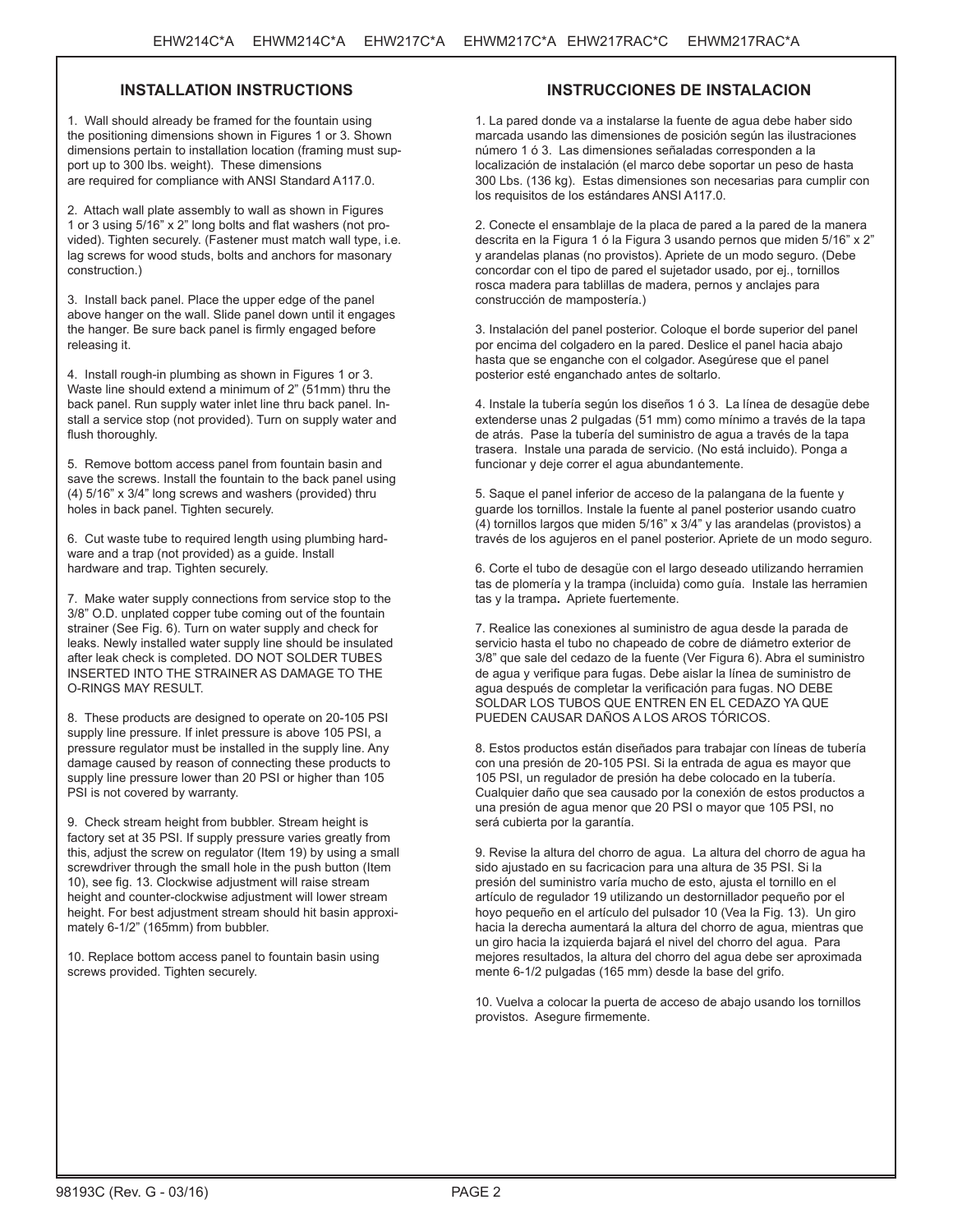# **INSTALLATION INSTRUCTIONS**

1. Wall should already be framed for the fountain using the positioning dimensions shown in Figures 1 or 3. Shown dimensions pertain to installation location (framing must support up to 300 lbs. weight). These dimensions are required for compliance with ANSI Standard A117.0.

2. Attach wall plate assembly to wall as shown in Figures 1 or 3 using 5/16" x 2" long bolts and flat washers (not provided). Tighten securely. (Fastener must match wall type, i.e. lag screws for wood studs, bolts and anchors for masonary construction.)

3. Install back panel. Place the upper edge of the panel above hanger on the wall. Slide panel down until it engages the hanger. Be sure back panel is firmly engaged before releasing it.

4. Install rough-in plumbing as shown in Figures 1 or 3. Waste line should extend a minimum of 2" (51mm) thru the back panel. Run supply water inlet line thru back panel. Install a service stop (not provided). Turn on supply water and flush thoroughly.

5. Remove bottom access panel from fountain basin and save the screws. Install the fountain to the back panel using (4) 5/16" x 3/4" long screws and washers (provided) thru holes in back panel. Tighten securely.

6. Cut waste tube to required length using plumbing hardware and a trap (not provided) as a guide. Install hardware and trap. Tighten securely.

7. Make water supply connections from service stop to the 3/8" O.D. unplated copper tube coming out of the fountain strainer (See Fig. 6). Turn on water supply and check for leaks. Newly installed water supply line should be insulated after leak check is completed. DO NOT SOLDER TUBES INSERTED INTO THE STRAINER AS DAMAGE TO THE O-RINGS MAY RESULT.

8. These products are designed to operate on 20-105 PSI supply line pressure. If inlet pressure is above 105 PSI, a pressure regulator must be installed in the supply line. Any damage caused by reason of connecting these products to supply line pressure lower than 20 PSI or higher than 105 PSI is not covered by warranty.

9. Check stream height from bubbler. Stream height is factory set at 35 PSI. If supply pressure varies greatly from this, adjust the screw on regulator (Item 19) by using a small screwdriver through the small hole in the push button (Item 10), see fig. 13. Clockwise adjustment will raise stream height and counter-clockwise adjustment will lower stream height. For best adjustment stream should hit basin approximately 6-1/2" (165mm) from bubbler.

10. Replace bottom access panel to fountain basin using screws provided. Tighten securely.

# **INSTRUCCIONES DE INSTALACION**

1. La pared donde va a instalarse la fuente de agua debe haber sido marcada usando las dimensiones de posición según las ilustraciones número 1 ó 3. Las dimensiones señaladas corresponden a la localización de instalación (el marco debe soportar un peso de hasta 300 Lbs. (136 kg). Estas dimensiones son necesarias para cumplir con los requisitos de los estándares ANSI A117.0.

2. Conecte el ensamblaje de la placa de pared a la pared de la manera descrita en la Figura 1 ó la Figura 3 usando pernos que miden 5/16" x 2" y arandelas planas (no provistos). Apriete de un modo seguro. (Debe concordar con el tipo de pared el sujetador usado, por ej., tornillos rosca madera para tablillas de madera, pernos y anclajes para construcción de mampostería.)

3. Instalación del panel posterior. Coloque el borde superior del panel por encima del colgadero en la pared. Deslice el panel hacia abajo hasta que se enganche con el colgador. Asegúrese que el panel posterior esté enganchado antes de soltarlo.

4. Instale la tubería según los diseños 1 ó 3. La línea de desagüe debe extenderse unas 2 pulgadas (51 mm) como mínimo a través de la tapa de atrás. Pase la tubería del suministro de agua a través de la tapa trasera. Instale una parada de servicio. (No está incluido). Ponga a funcionar y deje correr el agua abundantemente.

5. Saque el panel inferior de acceso de la palangana de la fuente y guarde los tornillos. Instale la fuente al panel posterior usando cuatro (4) tornillos largos que miden 5/16" x 3/4" y las arandelas (provistos) a través de los agujeros en el panel posterior. Apriete de un modo seguro.

6. Corte el tubo de desagüe con el largo deseado utilizando herramien tas de plomería y la trampa (incluida) como guía. Instale las herramien tas y la trampa**.** Apriete fuertemente.

7. Realice las conexiones al suministro de agua desde la parada de servicio hasta el tubo no chapeado de cobre de diámetro exterior de 3/8" que sale del cedazo de la fuente (Ver Figura 6). Abra el suministro de agua y verifique para fugas. Debe aislar la línea de suministro de agua después de completar la verificación para fugas. NO DEBE SOLDAR LOS TUBOS QUE ENTREN EN EL CEDAZO YA QUE PUEDEN CAUSAR DAÑOS A LOS AROS TÓRICOS.

8. Estos productos están diseñados para trabajar con líneas de tubería con una presión de 20-105 PSI. Si la entrada de agua es mayor que 105 PSI, un regulador de presión ha debe colocado en la tubería. Cualquier daño que sea causado por la conexión de estos productos a una presión de agua menor que 20 PSI o mayor que 105 PSI, no será cubierta por la garantía.

9. Revise la altura del chorro de agua. La altura del chorro de agua ha sido ajustado en su facricacion para una altura de 35 PSI. Si la presión del suministro varía mucho de esto, ajusta el tornillo en el artículo de regulador 19 utilizando un destornillador pequeño por el hoyo pequeño en el artículo del pulsador 10 (Vea la Fig. 13). Un giro hacia la derecha aumentará la altura del chorro de agua, mientras que un giro hacia la izquierda bajará el nivel del chorro del agua. Para mejores resultados, la altura del chorro del agua debe ser aproximada mente 6-1/2 pulgadas (165 mm) desde la base del grifo.

10. Vuelva a colocar la puerta de acceso de abajo usando los tornillos provistos. Asegure firmemente.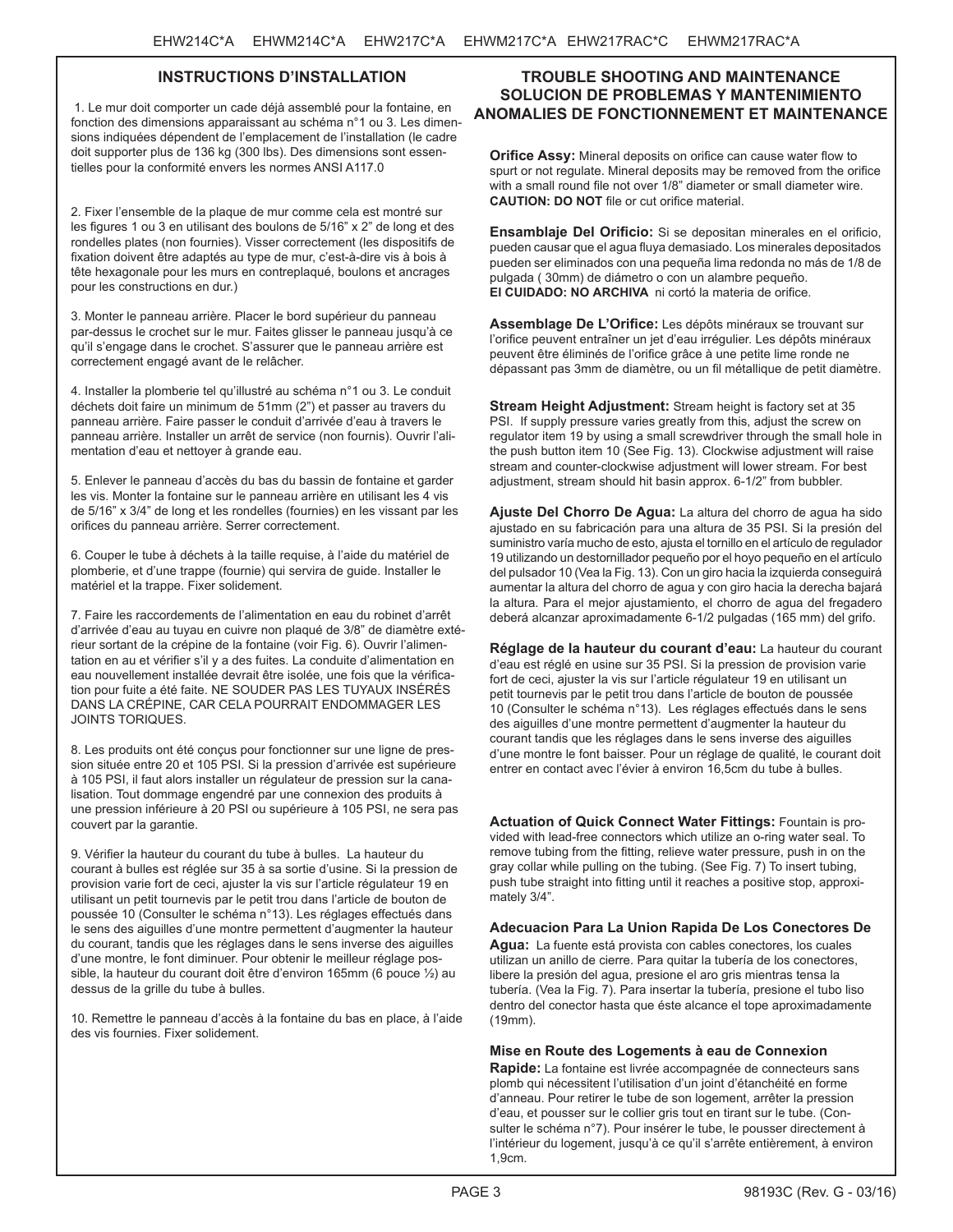# **INSTRUCTIONS D'INSTALLATION**

 1. Le mur doit comporter un cade déjà assemblé pour la fontaine, en fonction des dimensions apparaissant au schéma n°1 ou 3. Les dimensions indiquées dépendent de l'emplacement de l'installation (le cadre doit supporter plus de 136 kg (300 lbs). Des dimensions sont essentielles pour la conformité envers les normes ANSI A117.0

2. Fixer l'ensemble de la plaque de mur comme cela est montré sur les figures 1 ou 3 en utilisant des boulons de 5/16" x 2" de long et des rondelles plates (non fournies). Visser correctement (les dispositifs de fixation doivent être adaptés au type de mur, c'est-à-dire vis à bois à tête hexagonale pour les murs en contreplaqué, boulons et ancrages pour les constructions en dur.)

3. Monter le panneau arrière. Placer le bord supérieur du panneau par-dessus le crochet sur le mur. Faites glisser le panneau jusqu'à ce qu'il s'engage dans le crochet. S'assurer que le panneau arrière est correctement engagé avant de le relâcher.

4. Installer la plomberie tel qu'illustré au schéma n°1 ou 3. Le conduit déchets doit faire un minimum de 51mm (2") et passer au travers du panneau arrière. Faire passer le conduit d'arrivée d'eau à travers le panneau arrière. Installer un arrêt de service (non fournis). Ouvrir l'alimentation d'eau et nettoyer à grande eau.

5. Enlever le panneau d'accès du bas du bassin de fontaine et garder les vis. Monter la fontaine sur le panneau arrière en utilisant les 4 vis de 5/16" x 3/4" de long et les rondelles (fournies) en les vissant par les orifices du panneau arrière. Serrer correctement.

6. Couper le tube à déchets à la taille requise, à l'aide du matériel de plomberie, et d'une trappe (fournie) qui servira de guide. Installer le matériel et la trappe. Fixer solidement.

7. Faire les raccordements de l'alimentation en eau du robinet d'arrêt d'arrivée d'eau au tuyau en cuivre non plaqué de 3/8" de diamètre extérieur sortant de la crépine de la fontaine (voir Fig. 6). Ouvrir l'alimentation en au et vérifier s'il y a des fuites. La conduite d'alimentation en eau nouvellement installée devrait être isolée, une fois que la vérification pour fuite a été faite. NE SOUDER PAS LES TUYAUX INSÉRÉS DANS LA CRÉPINE, CAR CELA POURRAIT ENDOMMAGER LES JOINTS TORIQUES.

8. Les produits ont été conçus pour fonctionner sur une ligne de pression située entre 20 et 105 PSI. Si la pression d'arrivée est supérieure à 105 PSI, il faut alors installer un régulateur de pression sur la canalisation. Tout dommage engendré par une connexion des produits à une pression inférieure à 20 PSI ou supérieure à 105 PSI, ne sera pas couvert par la garantie.

9. Vérifier la hauteur du courant du tube à bulles. La hauteur du courant à bulles est réglée sur 35 à sa sortie d'usine. Si la pression de provision varie fort de ceci, ajuster la vis sur l'article régulateur 19 en utilisant un petit tournevis par le petit trou dans l'article de bouton de poussée 10 (Consulter le schéma n°13). Les réglages effectués dans le sens des aiguilles d'une montre permettent d'augmenter la hauteur du courant, tandis que les réglages dans le sens inverse des aiguilles d'une montre, le font diminuer. Pour obtenir le meilleur réglage possible, la hauteur du courant doit être d'environ 165mm (6 pouce ½) au dessus de la grille du tube à bulles.

10. Remettre le panneau d'accès à la fontaine du bas en place, à l'aide des vis fournies. Fixer solidement.

# **TROUBLE SHOOTING AND MAINTENANCE SOLUCION DE PROBLEMAS Y MANTENIMIENTO ANOMALIES DE FONCTIONNEMENT ET MAINTENANCE**

**Orifice Assy:** Mineral deposits on orifice can cause water flow to spurt or not regulate. Mineral deposits may be removed from the orifice with a small round file not over 1/8" diameter or small diameter wire. **CAUTION: DO NOT** file or cut orifice material.

**Ensamblaje Del Orificio:** Si se depositan minerales en el orificio, pueden causar que el agua fluya demasiado. Los minerales depositados pueden ser eliminados con una pequeña lima redonda no más de 1/8 de pulgada ( 30mm) de diámetro o con un alambre pequeño. **El CUIDADO: NO ARCHIVA** ni cortó la materia de orifice.

**Assemblage De L'Orifice:** Les dépôts minéraux se trouvant sur l'orifice peuvent entraîner un jet d'eau irrégulier. Les dépôts minéraux peuvent être éliminés de l'orifice grâce à une petite lime ronde ne dépassant pas 3mm de diamètre, ou un fil métallique de petit diamètre.

**Stream Height Adjustment:** Stream height is factory set at 35 PSI. If supply pressure varies greatly from this, adjust the screw on regulator item 19 by using a small screwdriver through the small hole in the push button item 10 (See Fig. 13). Clockwise adjustment will raise stream and counter-clockwise adjustment will lower stream. For best adjustment, stream should hit basin approx. 6-1/2" from bubbler.

**Ajuste Del Chorro De Agua:** La altura del chorro de agua ha sido ajustado en su fabricación para una altura de 35 PSI. Si la presión del suministro varía mucho de esto, ajusta el tornillo en el artículo de regulador 19 utilizando un destornillador pequeño por el hoyo pequeño en el artículo del pulsador 10 (Vea la Fig. 13). Con un giro hacia la izquierda conseguirá aumentar la altura del chorro de agua y con giro hacia la derecha bajará la altura. Para el mejor ajustamiento, el chorro de agua del fregadero deberá alcanzar aproximadamente 6-1/2 pulgadas (165 mm) del grifo.

**Réglage de la hauteur du courant d'eau:** La hauteur du courant d'eau est réglé en usine sur 35 PSI. Si la pression de provision varie fort de ceci, ajuster la vis sur l'article régulateur 19 en utilisant un petit tournevis par le petit trou dans l'article de bouton de poussée 10 (Consulter le schéma n°13). Les réglages effectués dans le sens des aiguilles d'une montre permettent d'augmenter la hauteur du courant tandis que les réglages dans le sens inverse des aiguilles d'une montre le font baisser. Pour un réglage de qualité, le courant doit entrer en contact avec l'évier à environ 16,5cm du tube à bulles.

**Actuation of Quick Connect Water Fittings:** Fountain is provided with lead-free connectors which utilize an o-ring water seal. To remove tubing from the fitting, relieve water pressure, push in on the gray collar while pulling on the tubing. (See Fig. 7) To insert tubing, push tube straight into fitting until it reaches a positive stop, approximately 3/4".

**Adecuacion Para La Union Rapida De Los Conectores De Agua:** La fuente está provista con cables conectores, los cuales utilizan un anillo de cierre. Para quitar la tubería de los conectores, libere la presión del agua, presione el aro gris mientras tensa la tubería. (Vea la Fig. 7). Para insertar la tubería, presione el tubo liso dentro del conector hasta que éste alcance el tope aproximadamente (19mm).

**Mise en Route des Logements à eau de Connexion** 

**Rapide:** La fontaine est livrée accompagnée de connecteurs sans plomb qui nécessitent l'utilisation d'un joint d'étanchéité en forme d'anneau. Pour retirer le tube de son logement, arrêter la pression d'eau, et pousser sur le collier gris tout en tirant sur le tube. (Consulter le schéma n°7). Pour insérer le tube, le pousser directement à l'intérieur du logement, jusqu'à ce qu'il s'arrête entièrement, à environ 1,9cm.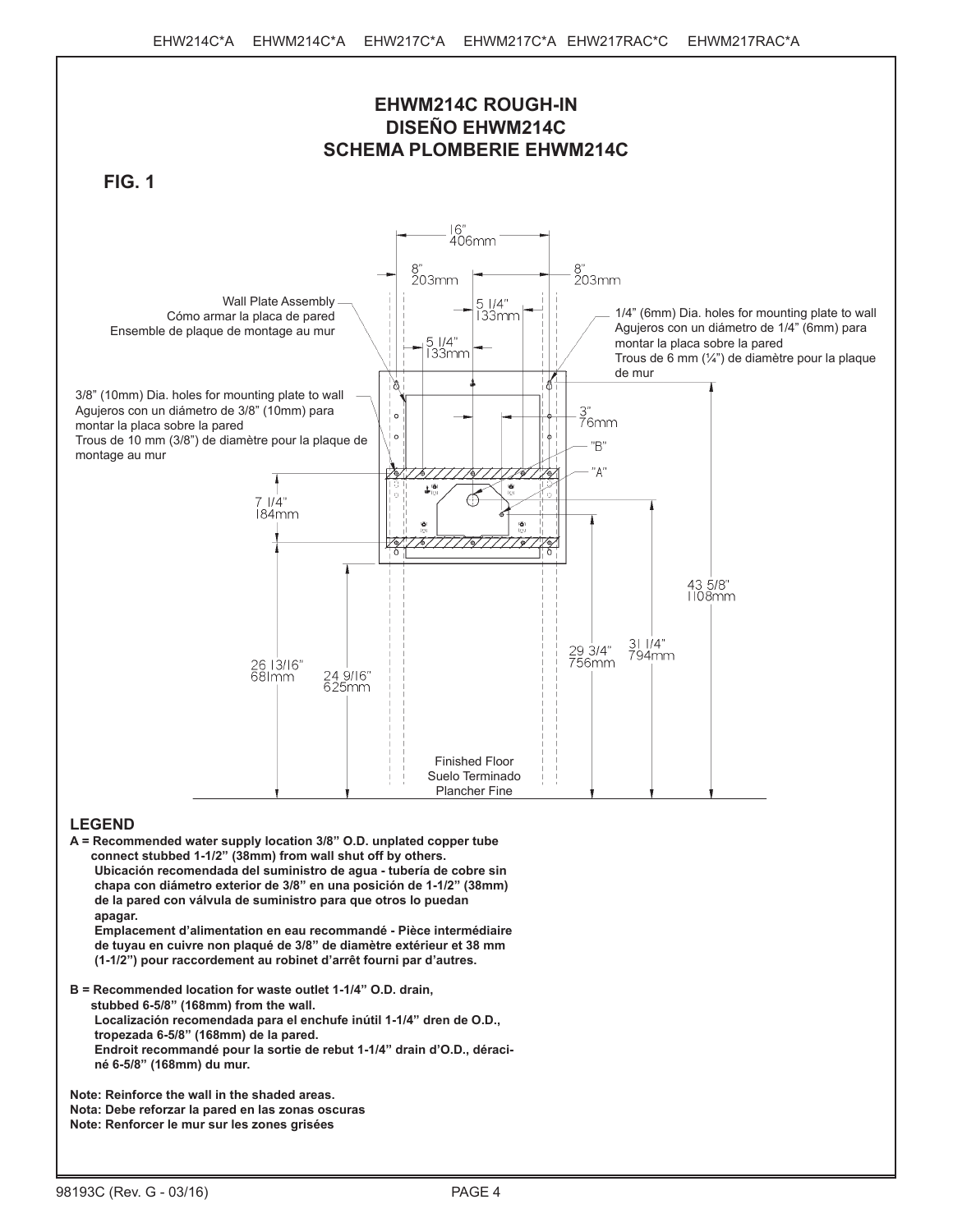

**A = Recommended water supply location 3/8" O.D. unplated copper tube connect stubbed 1-1/2" (38mm) from wall shut off by others. Ubicación recomendada del suministro de agua - tubería de cobre sin chapa con diámetro exterior de 3/8" en una posición de 1-1/2" (38mm) de la pared con válvula de suministro para que otros lo puedan apagar. Emplacement d'alimentation en eau recommandé - Pièce intermédiaire de tuyau en cuivre non plaqué de 3/8" de diamètre extérieur et 38 mm** 

**(1-1/2") pour raccordement au robinet d'arrêt fourni par d'autres.**

**B = Recommended location for waste outlet 1-1/4" O.D. drain, stubbed 6-5/8" (168mm) from the wall. Localización recomendada para el enchufe inútil 1-1/4" dren de O.D., tropezada 6-5/8" (168mm) de la pared. Endroit recommandé pour la sortie de rebut 1-1/4" drain d'O.D., déraciné 6-5/8" (168mm) du mur.**

**Note: Reinforce the wall in the shaded areas. Nota: Debe reforzar la pared en las zonas oscuras Note: Renforcer le mur sur les zones grisées**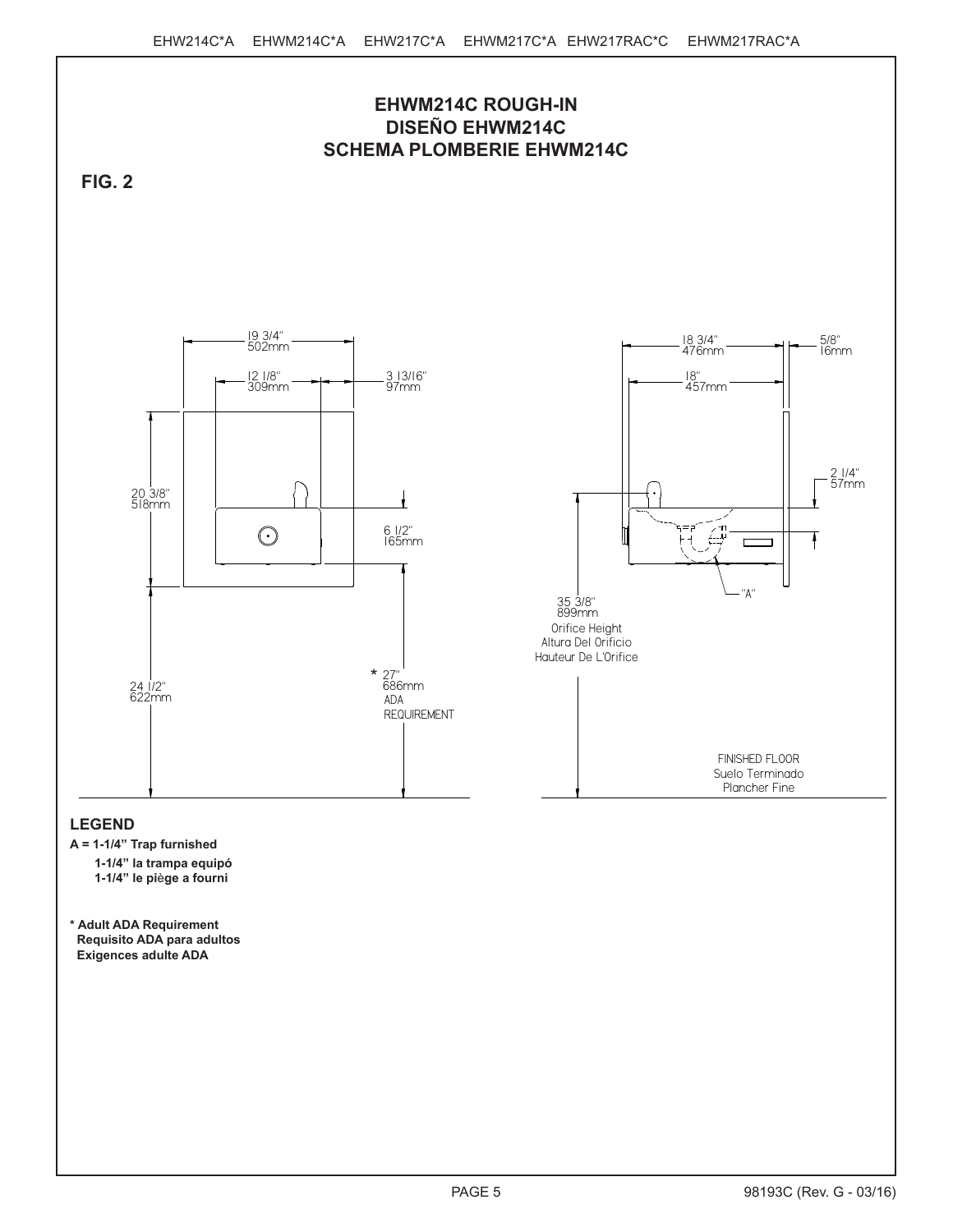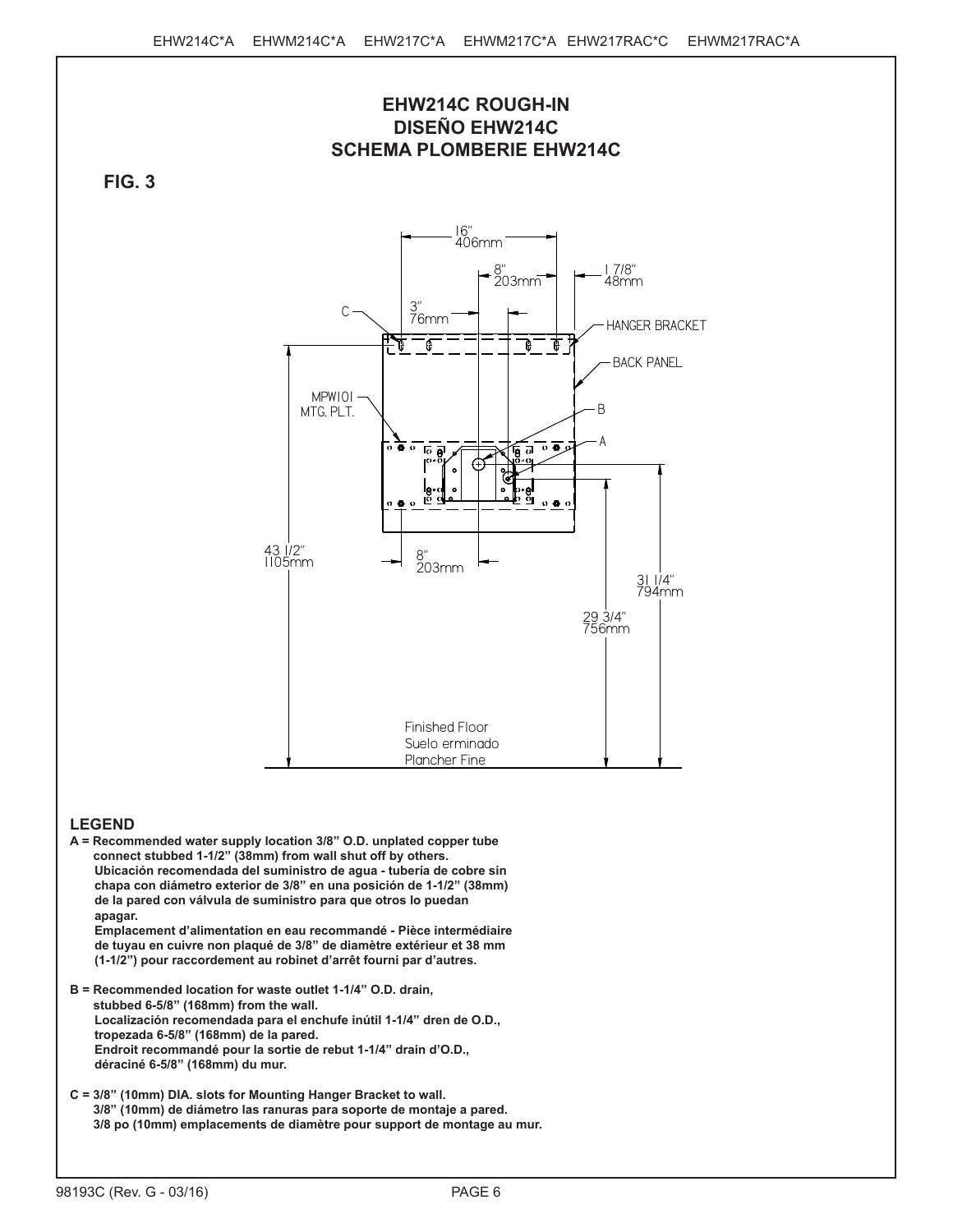

- **A = Recommended water supply location 3/8" O.D. unplated copper tube connect stubbed 1-1/2" (38mm) from wall shut off by others. Ubicación recomendada del suministro de agua - tubería de cobre sin chapa con diámetro exterior de 3/8" en una posición de 1-1/2" (38mm) de la pared con válvula de suministro para que otros lo puedan apagar. Emplacement d'alimentation en eau recommandé - Pièce intermédiaire de tuyau en cuivre non plaqué de 3/8" de diamètre extérieur et 38 mm (1-1/2") pour raccordement au robinet d'arrêt fourni par d'autres.**
- **B = Recommended location for waste outlet 1-1/4" O.D. drain, stubbed 6-5/8" (168mm) from the wall. Localización recomendada para el enchufe inútil 1-1/4" dren de O.D., tropezada 6-5/8" (168mm) de la pared. Endroit recommandé pour la sortie de rebut 1-1/4" drain d'O.D., déraciné 6-5/8" (168mm) du mur.**
- **C = 3/8" (10mm) DIA. slots for Mounting Hanger Bracket to wall. 3/8" (10mm) de diámetro las ranuras para soporte de montaje a pared. 3/8 po (10mm) emplacements de diamètre pour support de montage au mur.**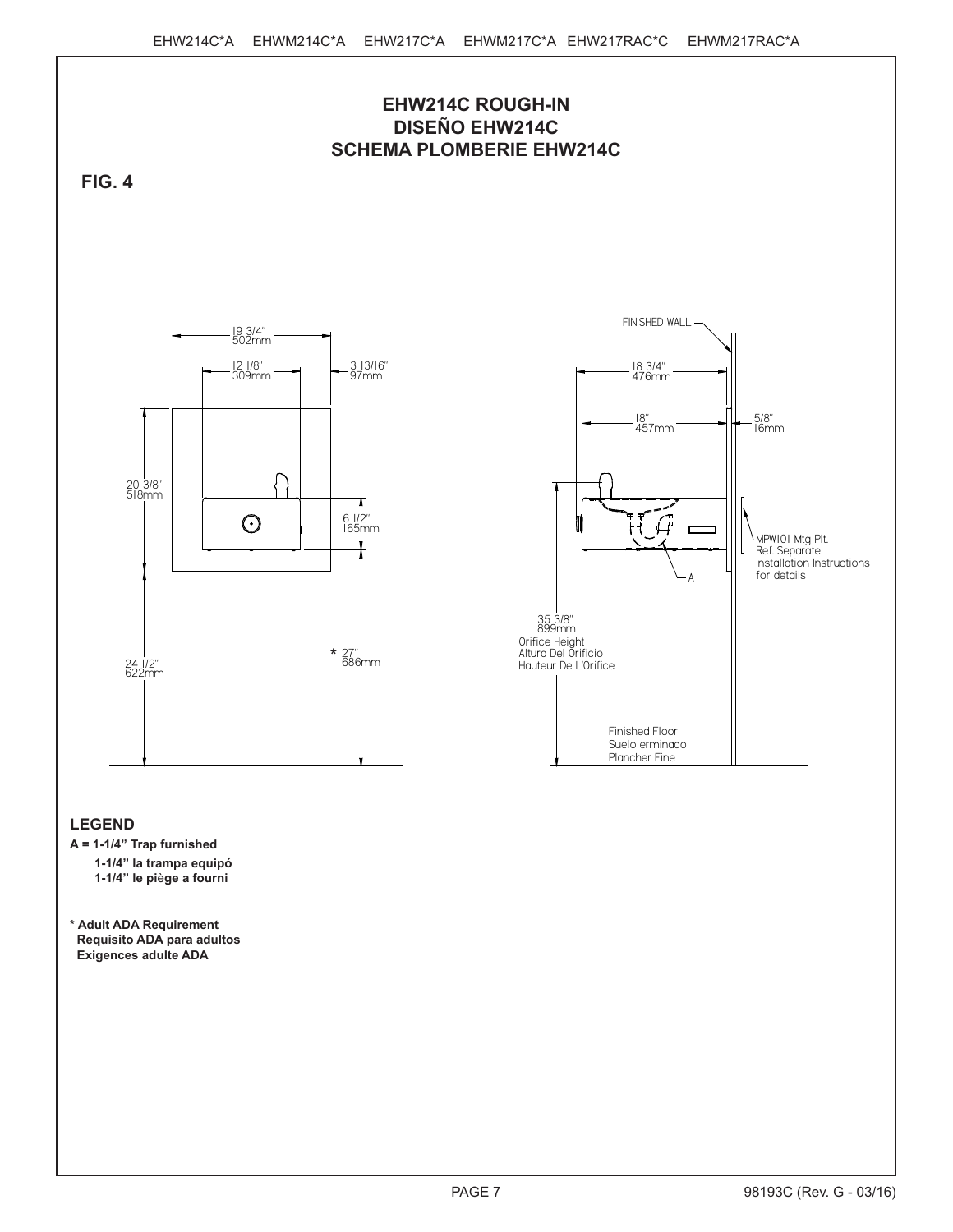

**\* Adult ADA Requirement Requisito ADA para adultos Exigences adulte ADA**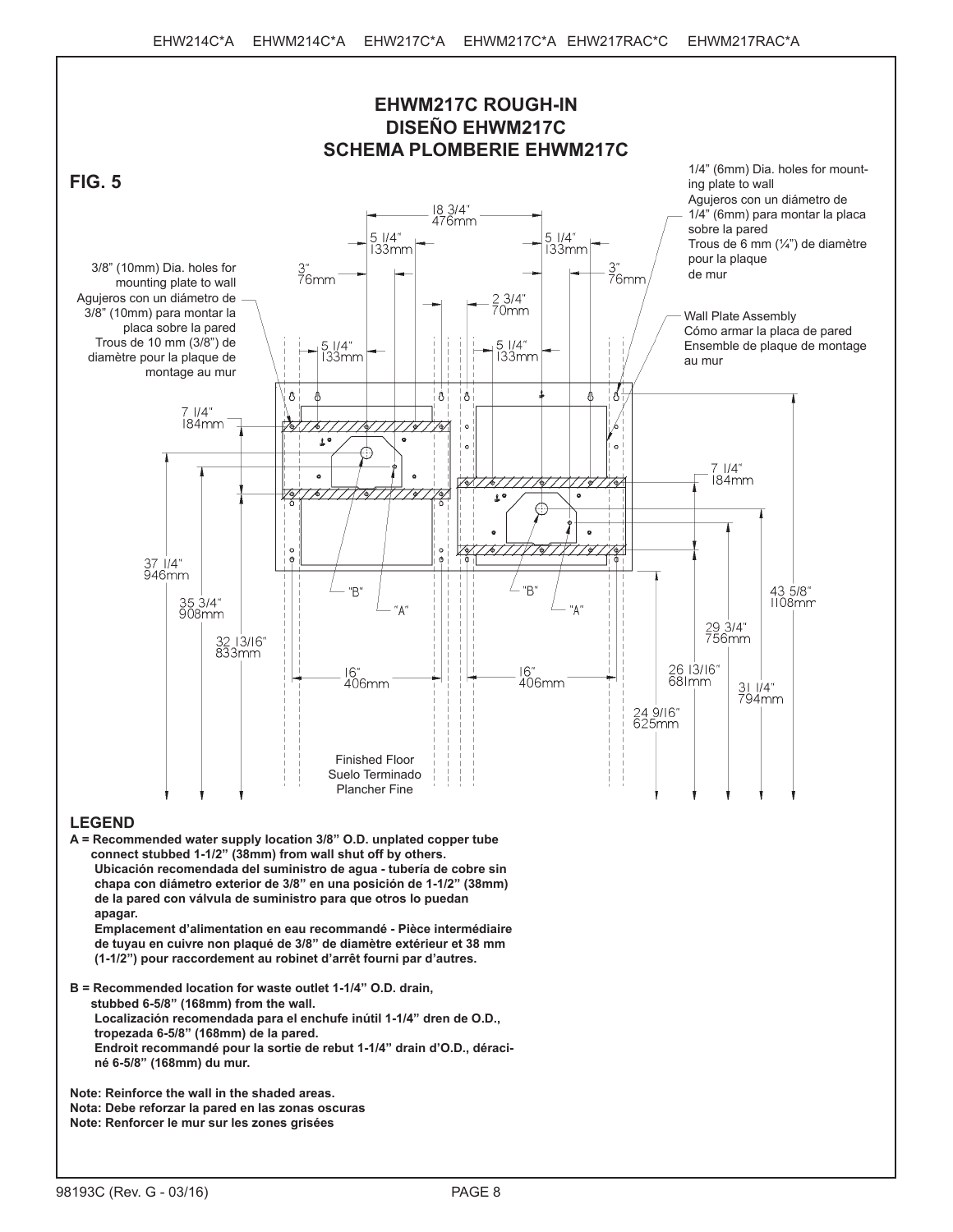

**A = Recommended water supply location 3/8" O.D. unplated copper tube connect stubbed 1-1/2" (38mm) from wall shut off by others. Ubicación recomendada del suministro de agua - tubería de cobre sin chapa con diámetro exterior de 3/8" en una posición de 1-1/2" (38mm) de la pared con válvula de suministro para que otros lo puedan apagar.**

**Emplacement d'alimentation en eau recommandé - Pièce intermédiaire de tuyau en cuivre non plaqué de 3/8" de diamètre extérieur et 38 mm (1-1/2") pour raccordement au robinet d'arrêt fourni par d'autres.**

**B = Recommended location for waste outlet 1-1/4" O.D. drain, stubbed 6-5/8" (168mm) from the wall. Localización recomendada para el enchufe inútil 1-1/4" dren de O.D., tropezada 6-5/8" (168mm) de la pared. Endroit recommandé pour la sortie de rebut 1-1/4" drain d'O.D., déraciné 6-5/8" (168mm) du mur.**

**Note: Reinforce the wall in the shaded areas. Nota: Debe reforzar la pared en las zonas oscuras Note: Renforcer le mur sur les zones grisées**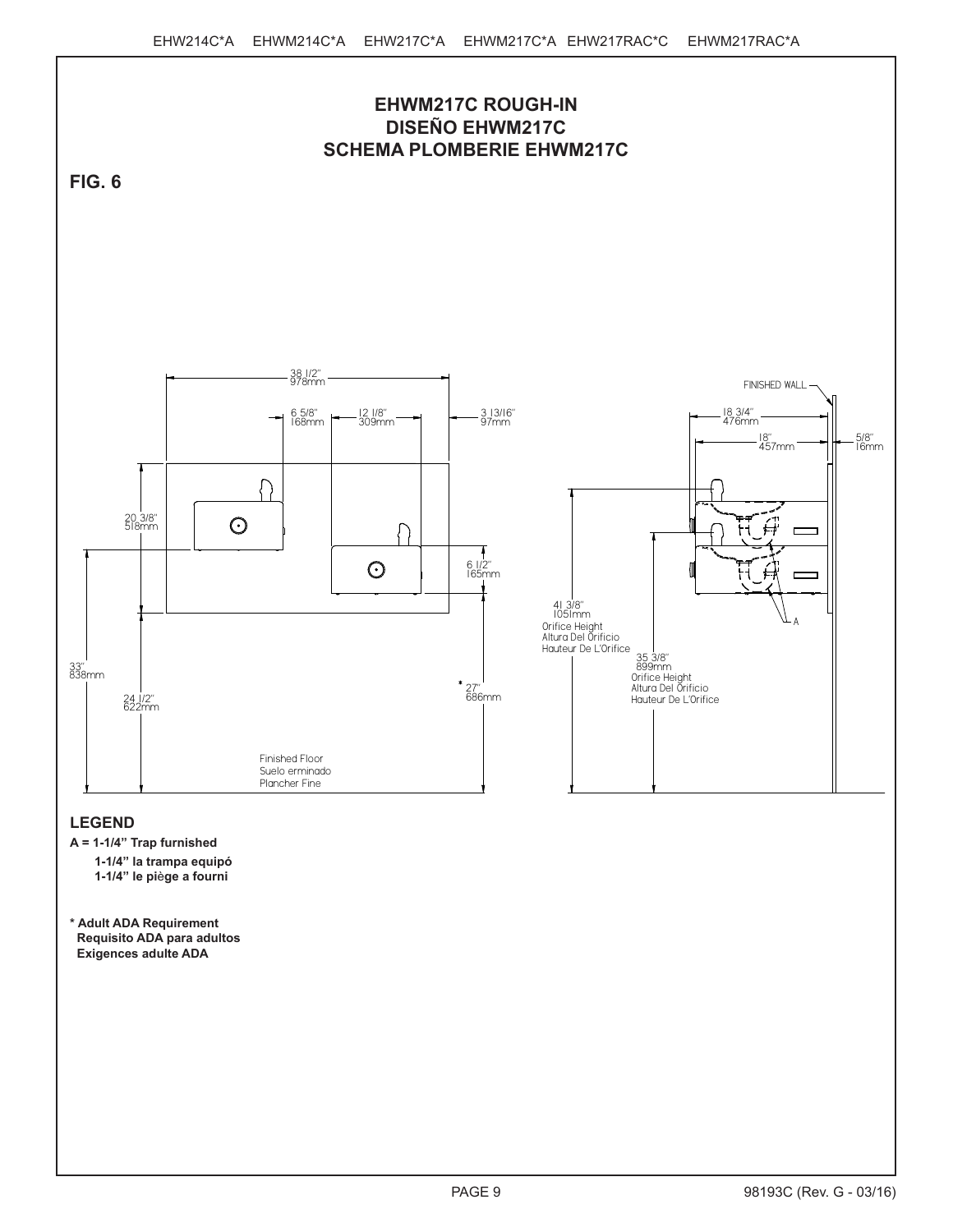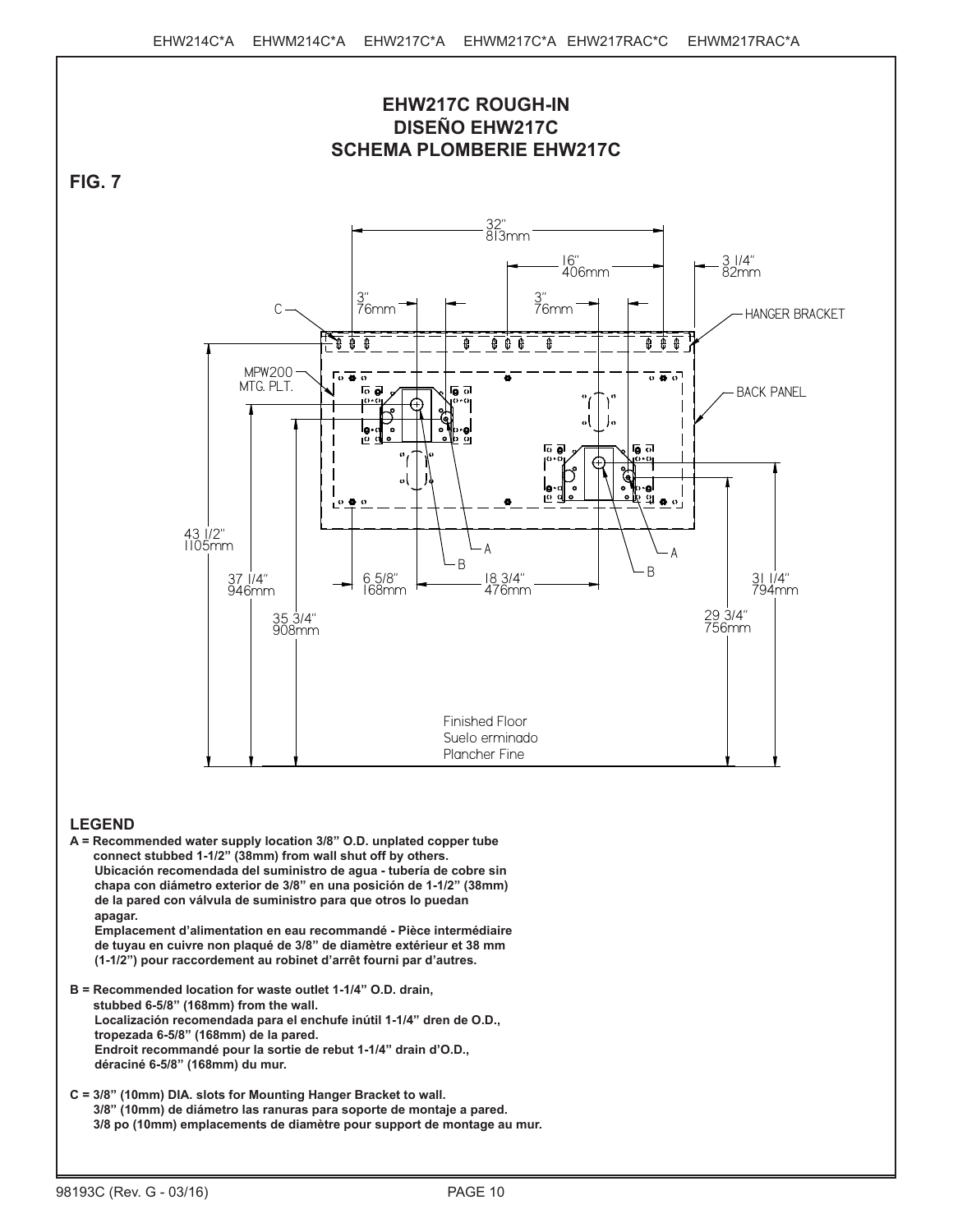

**A = Recommended water supply location 3/8" O.D. unplated copper tube connect stubbed 1-1/2" (38mm) from wall shut off by others. Ubicación recomendada del suministro de agua - tubería de cobre sin chapa con diámetro exterior de 3/8" en una posición de 1-1/2" (38mm) de la pared con válvula de suministro para que otros lo puedan apagar. Emplacement d'alimentation en eau recommandé - Pièce intermédiaire**

**de tuyau en cuivre non plaqué de 3/8" de diamètre extérieur et 38 mm (1-1/2") pour raccordement au robinet d'arrêt fourni par d'autres.**

- **B = Recommended location for waste outlet 1-1/4" O.D. drain, stubbed 6-5/8" (168mm) from the wall. Localización recomendada para el enchufe inútil 1-1/4" dren de O.D., tropezada 6-5/8" (168mm) de la pared. Endroit recommandé pour la sortie de rebut 1-1/4" drain d'O.D., déraciné 6-5/8" (168mm) du mur.**
- **C = 3/8" (10mm) DIA. slots for Mounting Hanger Bracket to wall. 3/8" (10mm) de diámetro las ranuras para soporte de montaje a pared. 3/8 po (10mm) emplacements de diamètre pour support de montage au mur.**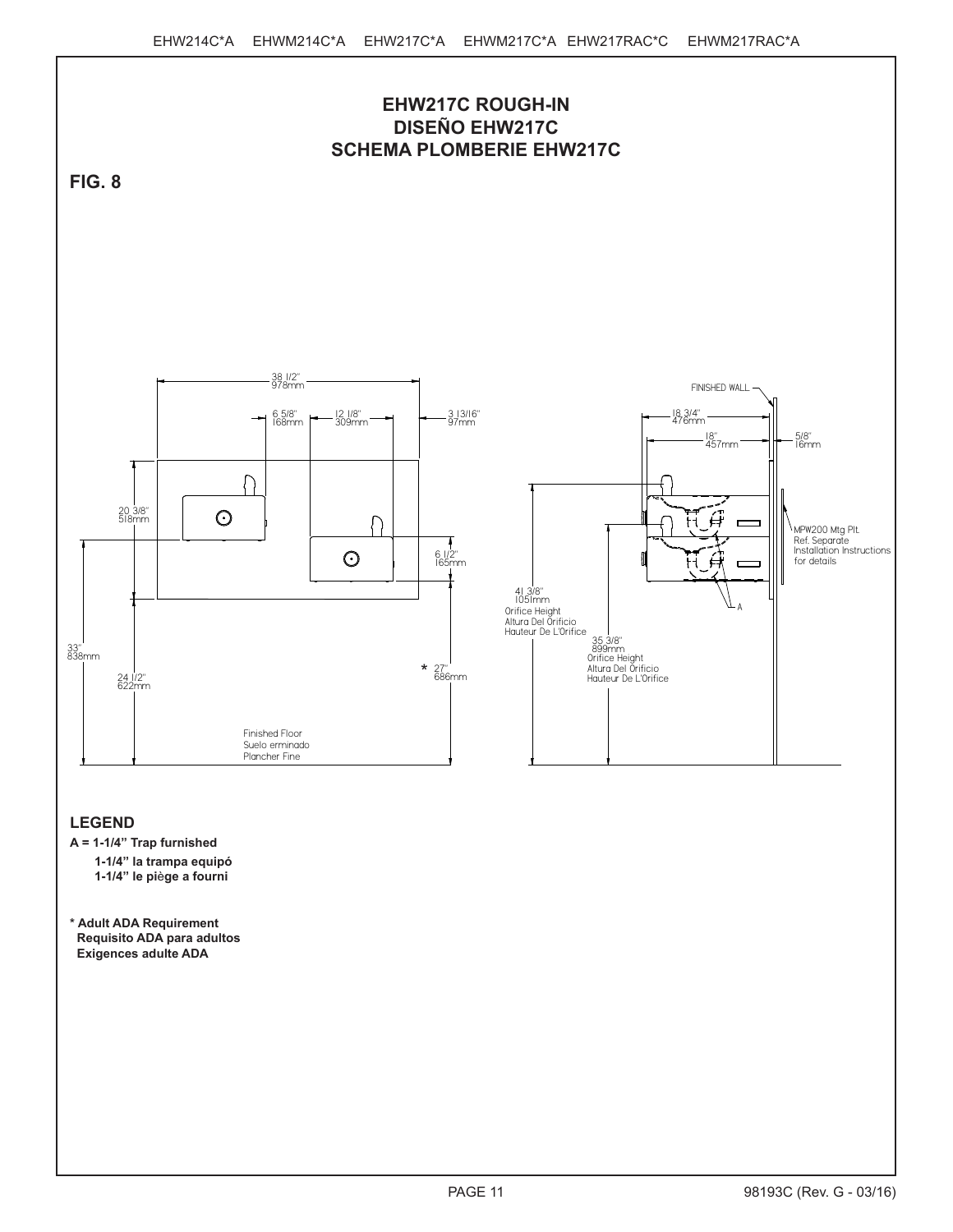

 **Requisito ADA para adultos Exigences adulte ADA**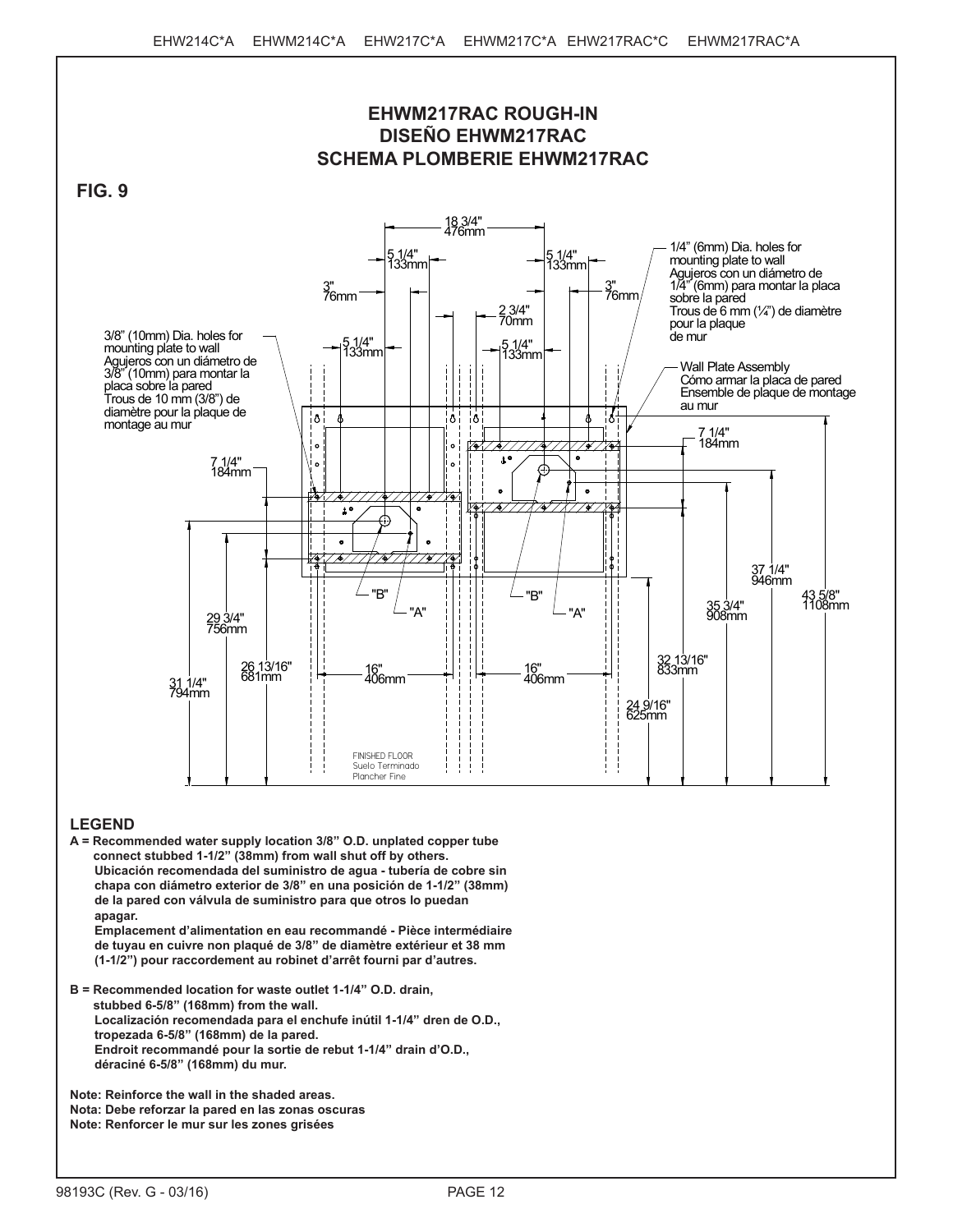

**A = Recommended water supply location 3/8" O.D. unplated copper tube connect stubbed 1-1/2" (38mm) from wall shut off by others. Ubicación recomendada del suministro de agua - tubería de cobre sin chapa con diámetro exterior de 3/8" en una posición de 1-1/2" (38mm) de la pared con válvula de suministro para que otros lo puedan apagar.**

**Emplacement d'alimentation en eau recommandé - Pièce intermédiaire de tuyau en cuivre non plaqué de 3/8" de diamètre extérieur et 38 mm (1-1/2") pour raccordement au robinet d'arrêt fourni par d'autres.**

**B = Recommended location for waste outlet 1-1/4" O.D. drain, stubbed 6-5/8" (168mm) from the wall. Localización recomendada para el enchufe inútil 1-1/4" dren de O.D., tropezada 6-5/8" (168mm) de la pared. Endroit recommandé pour la sortie de rebut 1-1/4" drain d'O.D., déraciné 6-5/8" (168mm) du mur.**

**Note: Reinforce the wall in the shaded areas. Nota: Debe reforzar la pared en las zonas oscuras Note: Renforcer le mur sur les zones grisées**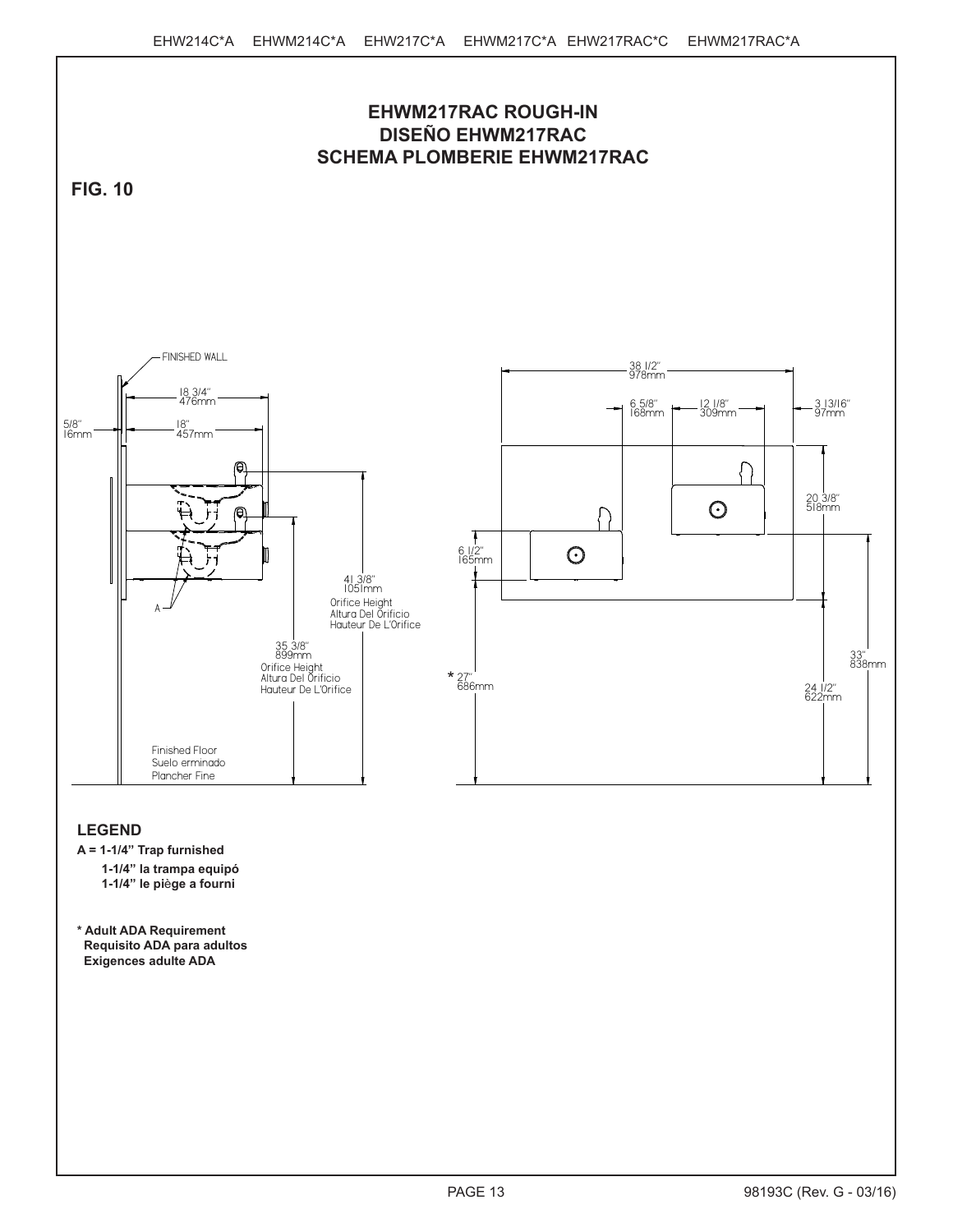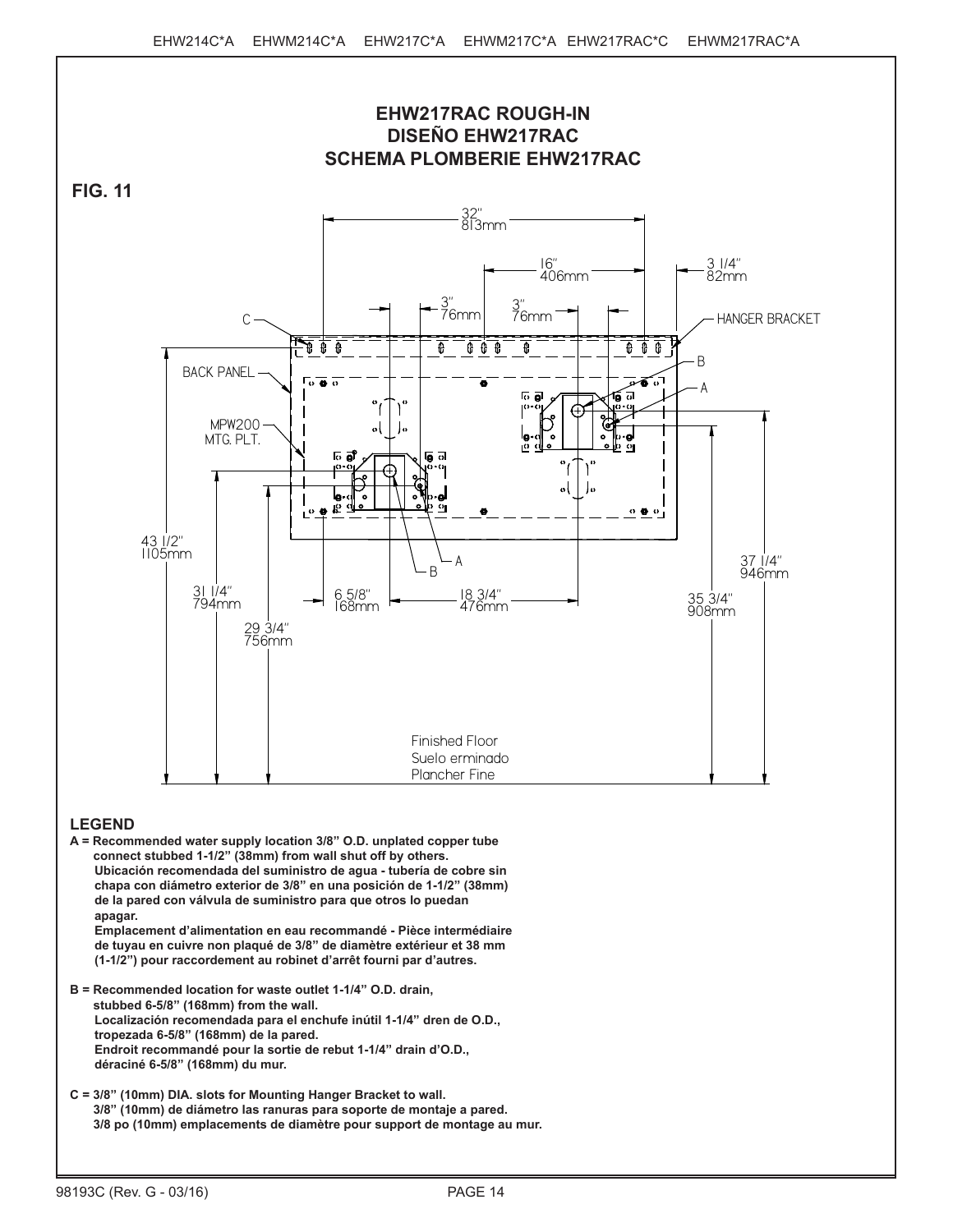

**A = Recommended water supply location 3/8" O.D. unplated copper tube connect stubbed 1-1/2" (38mm) from wall shut off by others. Ubicación recomendada del suministro de agua - tubería de cobre sin chapa con diámetro exterior de 3/8" en una posición de 1-1/2" (38mm) de la pared con válvula de suministro para que otros lo puedan apagar. Emplacement d'alimentation en eau recommandé - Pièce intermédiaire**

**de tuyau en cuivre non plaqué de 3/8" de diamètre extérieur et 38 mm (1-1/2") pour raccordement au robinet d'arrêt fourni par d'autres.**

- **B = Recommended location for waste outlet 1-1/4" O.D. drain, stubbed 6-5/8" (168mm) from the wall. Localización recomendada para el enchufe inútil 1-1/4" dren de O.D., tropezada 6-5/8" (168mm) de la pared. Endroit recommandé pour la sortie de rebut 1-1/4" drain d'O.D., déraciné 6-5/8" (168mm) du mur.**
- **C = 3/8" (10mm) DIA. slots for Mounting Hanger Bracket to wall. 3/8" (10mm) de diámetro las ranuras para soporte de montaje a pared. 3/8 po (10mm) emplacements de diamètre pour support de montage au mur.**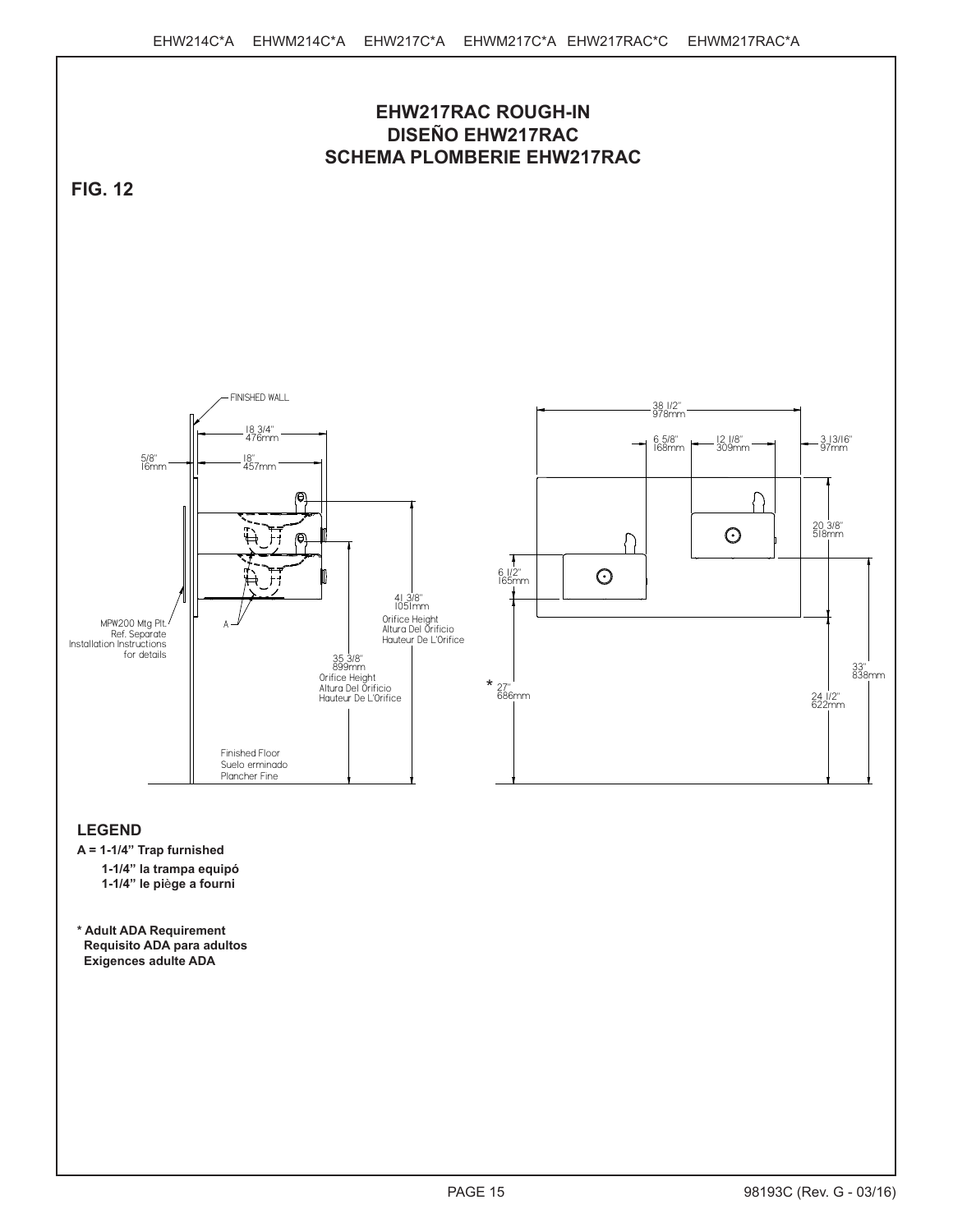

**A = 1-1/4" Trap furnished**

**1-1/4" la trampa equipó 1-1/4" le pi**è**ge a fourni**

**\* Adult ADA Requirement Requisito ADA para adultos Exigences adulte ADA**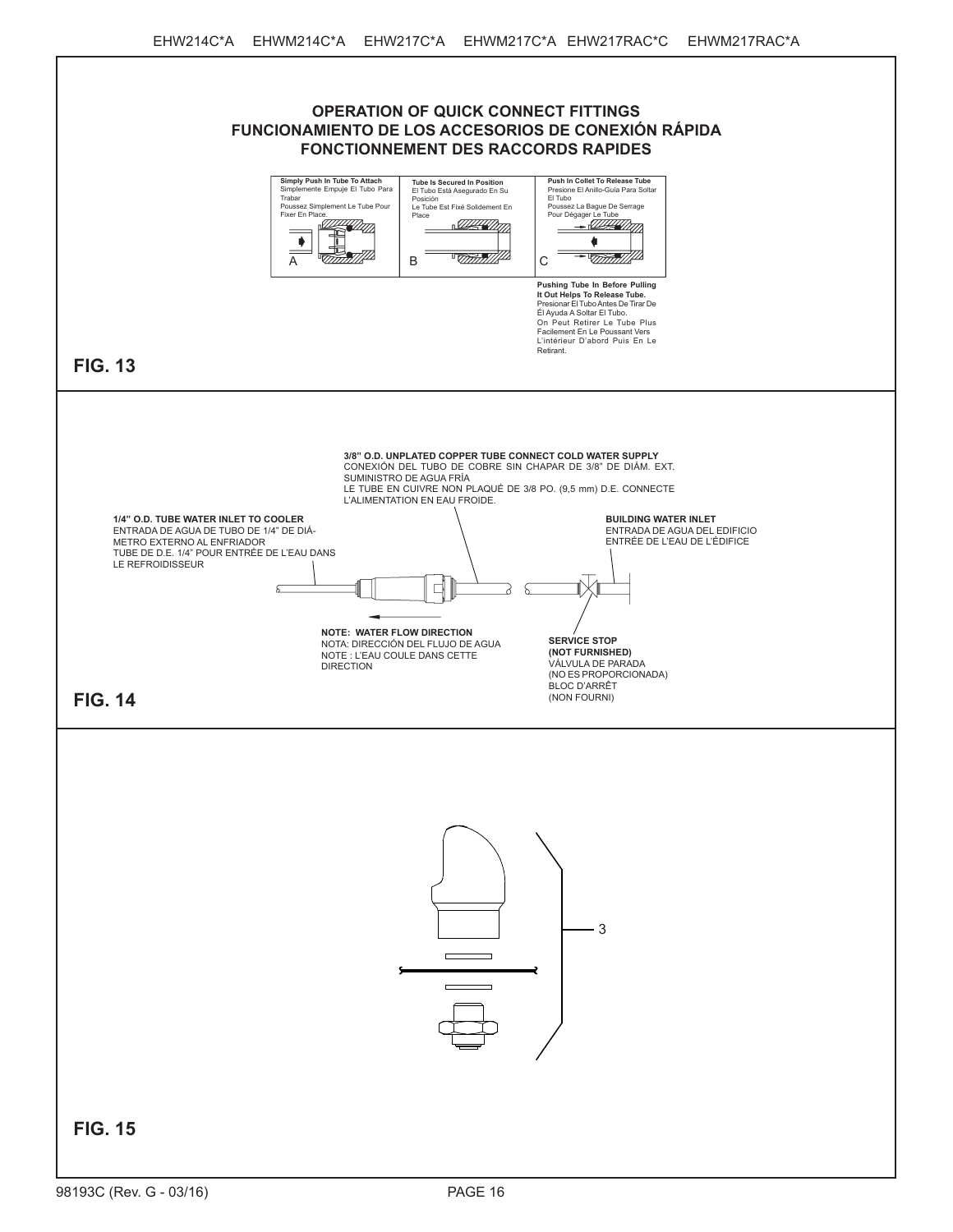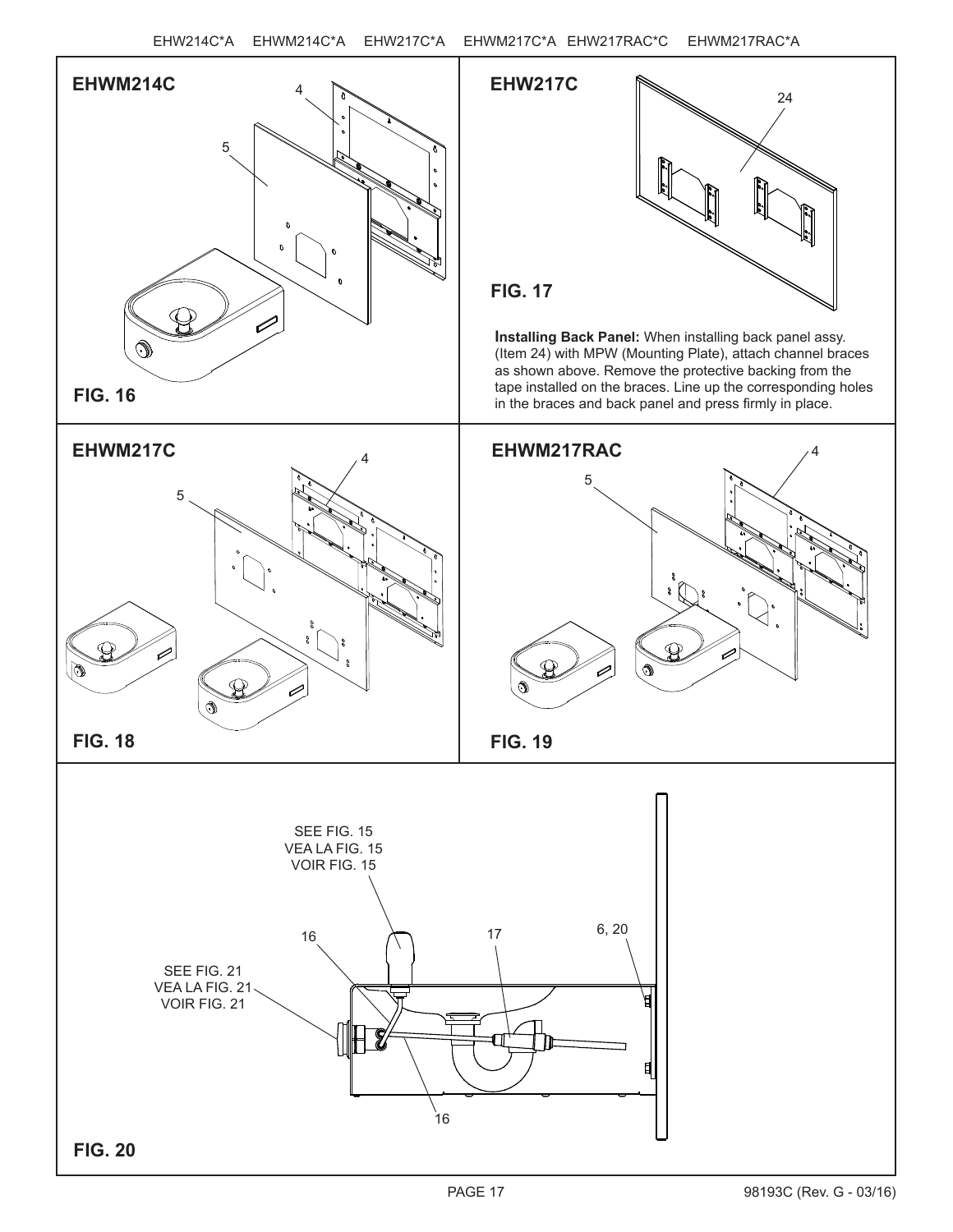



**Installing Back Panel:** When installing back panel assy. (Item 24) with MPW (Mounting Plate), attach channel braces as shown above. Remove the protective backing from the tape installed on the braces. Line up the corresponding holes in the braces and back panel and press firmly in place.







**FIG. 19**